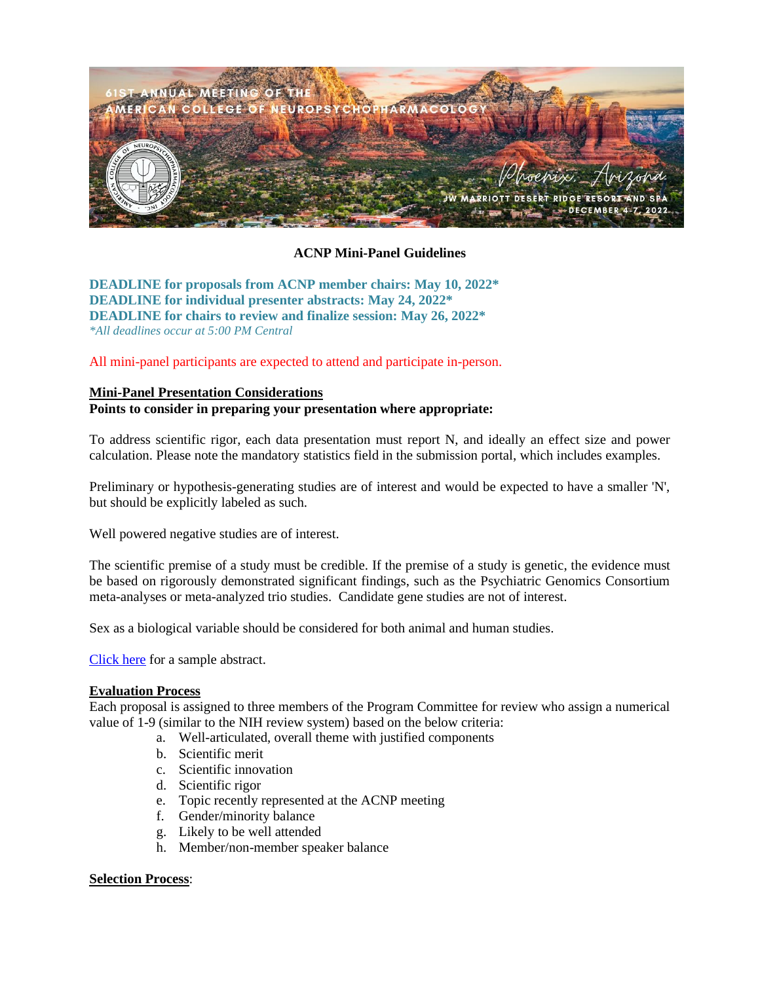

# **ACNP Mini-Panel Guidelines**

**DEADLINE for proposals from ACNP member chairs: May 10, 2022\* DEADLINE for individual presenter abstracts: May 24, 2022\* DEADLINE for chairs to review and finalize session: May 26, 2022\*** *\*All deadlines occur at 5:00 PM Central*

All mini-panel participants are expected to attend and participate in-person.

# **Mini-Panel Presentation Considerations**

**Points to consider in preparing your presentation where appropriate:**

To address scientific rigor, each data presentation must report N, and ideally an effect size and power calculation. Please note the mandatory statistics field in the submission portal, which includes examples.

Preliminary or hypothesis-generating studies are of interest and would be expected to have a smaller 'N', but should be explicitly labeled as such.

Well powered negative studies are of interest.

The scientific premise of a study must be credible. If the premise of a study is genetic, the evidence must be based on rigorously demonstrated significant findings, such as the Psychiatric Genomics Consortium meta-analyses or meta-analyzed trio studies. Candidate gene studies are not of interest.

Sex as a biological variable should be considered for both animal and human studies.

[Click here](http://pmg.joynadmin.org/documents/1001/604a9353ef0d26993f16a428.pdf) for a sample abstract.

#### **Evaluation Process**

Each proposal is assigned to three members of the Program Committee for review who assign a numerical value of 1-9 (similar to the NIH review system) based on the below criteria:

- a. Well-articulated, overall theme with justified components
- b. Scientific merit
- c. Scientific innovation
- d. Scientific rigor
- e. Topic recently represented at the ACNP meeting
- f. Gender/minority balance
- g. Likely to be well attended
- h. Member/non-member speaker balance

### **Selection Process**: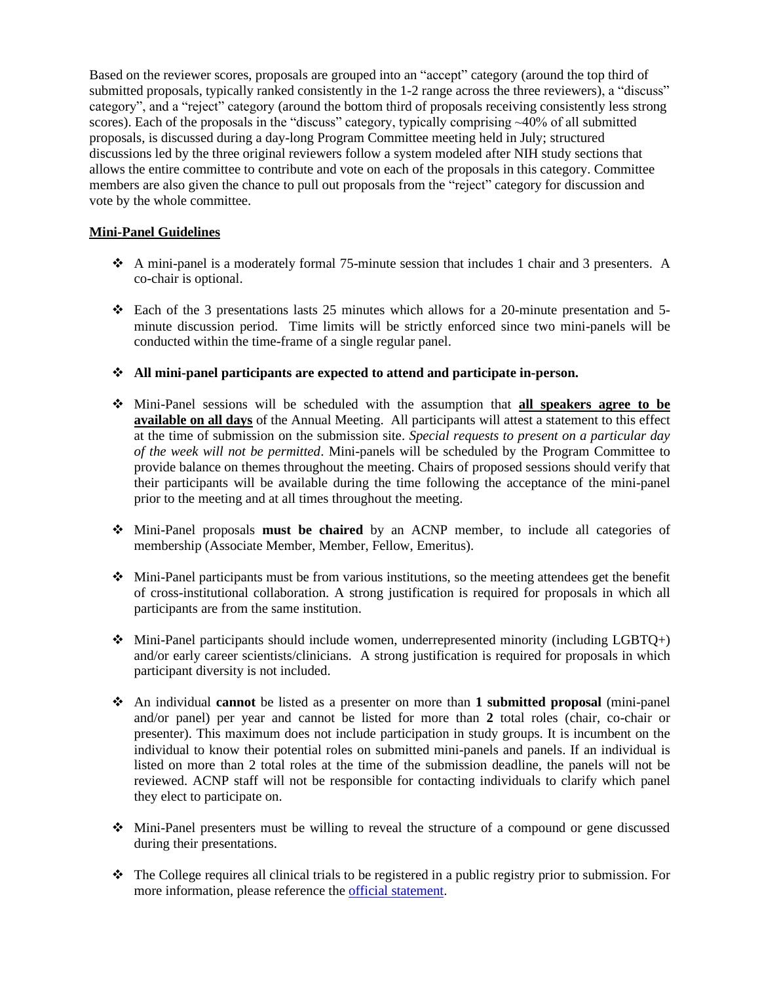Based on the reviewer scores, proposals are grouped into an "accept" category (around the top third of submitted proposals, typically ranked consistently in the 1-2 range across the three reviewers), a "discuss" category", and a "reject" category (around the bottom third of proposals receiving consistently less strong scores). Each of the proposals in the "discuss" category, typically comprising ~40% of all submitted proposals, is discussed during a day-long Program Committee meeting held in July; structured discussions led by the three original reviewers follow a system modeled after NIH study sections that allows the entire committee to contribute and vote on each of the proposals in this category. Committee members are also given the chance to pull out proposals from the "reject" category for discussion and vote by the whole committee.

## **Mini-Panel Guidelines**

- ❖ A mini-panel is a moderately formal 75-minute session that includes 1 chair and 3 presenters. A co-chair is optional.
- ❖ Each of the 3 presentations lasts 25 minutes which allows for a 20-minute presentation and 5 minute discussion period. Time limits will be strictly enforced since two mini-panels will be conducted within the time-frame of a single regular panel.
- ❖ **All mini-panel participants are expected to attend and participate in-person.**
- ❖ Mini-Panel sessions will be scheduled with the assumption that **all speakers agree to be available on all days** of the Annual Meeting. All participants will attest a statement to this effect at the time of submission on the submission site. *Special requests to present on a particular day of the week will not be permitted*. Mini-panels will be scheduled by the Program Committee to provide balance on themes throughout the meeting. Chairs of proposed sessions should verify that their participants will be available during the time following the acceptance of the mini-panel prior to the meeting and at all times throughout the meeting.
- ❖ Mini-Panel proposals **must be chaired** by an ACNP member, to include all categories of membership (Associate Member, Member, Fellow, Emeritus).
- ❖ Mini-Panel participants must be from various institutions, so the meeting attendees get the benefit of cross-institutional collaboration. A strong justification is required for proposals in which all participants are from the same institution.
- $\bullet$  Mini-Panel participants should include women, underrepresented minority (including LGBTQ+) and/or early career scientists/clinicians. A strong justification is required for proposals in which participant diversity is not included.
- ❖ An individual **cannot** be listed as a presenter on more than **1 submitted proposal** (mini-panel and/or panel) per year and cannot be listed for more than **2** total roles (chair, co-chair or presenter). This maximum does not include participation in study groups. It is incumbent on the individual to know their potential roles on submitted mini-panels and panels. If an individual is listed on more than 2 total roles at the time of the submission deadline, the panels will not be reviewed. ACNP staff will not be responsible for contacting individuals to clarify which panel they elect to participate on.
- ❖ Mini-Panel presenters must be willing to reveal the structure of a compound or gene discussed during their presentations.
- ❖ The College requires all clinical trials to be registered in a public registry prior to submission. For more information, please reference the [official statement.](https://acnp.org/wp-content/uploads/2017/10/REVISEDACNPClinicalTrialsStatement2013.pdf)